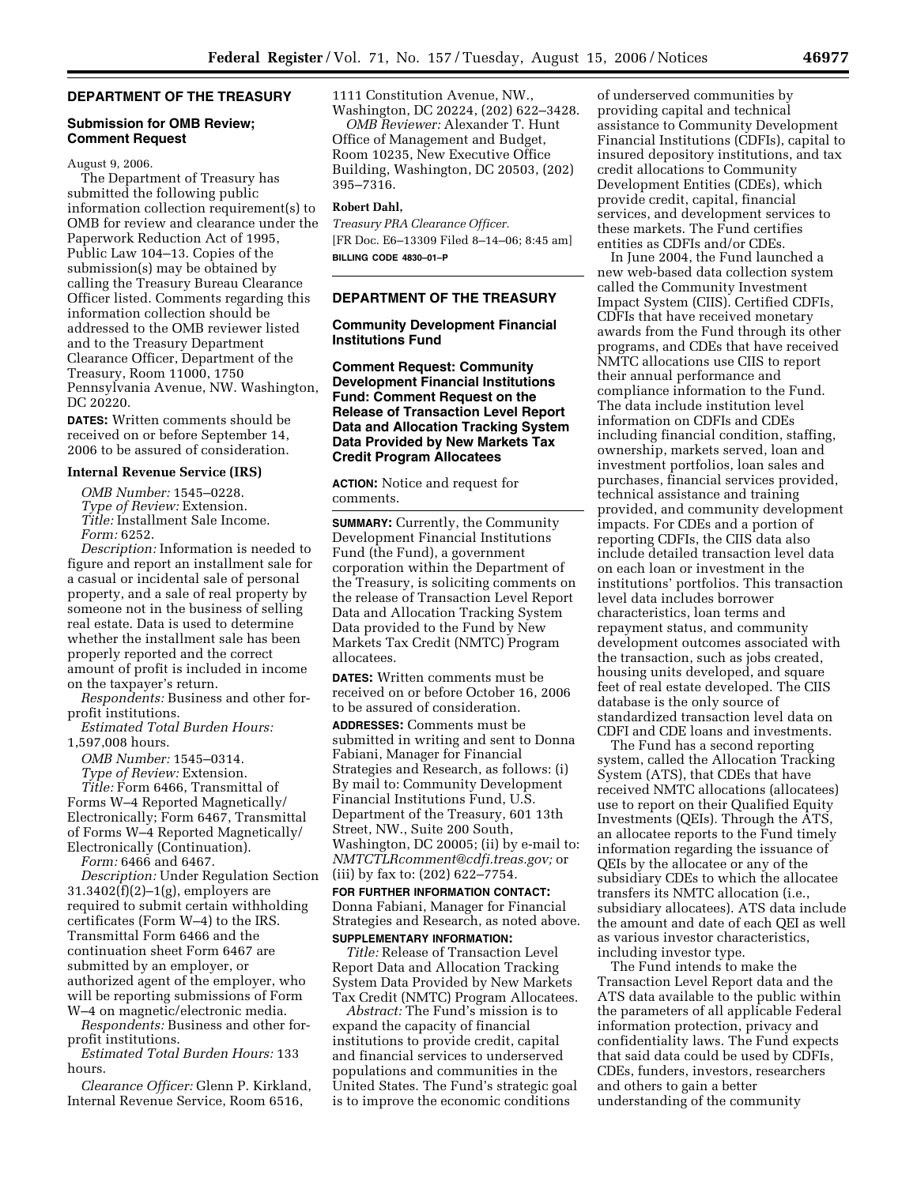# **DEPARTMENT OF THE TREASURY**

### **Submission for OMB Review; Comment Request**

### August 9, 2006.

The Department of Treasury has submitted the following public information collection requirement(s) to OMB for review and clearance under the Paperwork Reduction Act of 1995, Public Law 104–13. Copies of the submission(s) may be obtained by calling the Treasury Bureau Clearance Officer listed. Comments regarding this information collection should be addressed to the OMB reviewer listed and to the Treasury Department Clearance Officer, Department of the Treasury, Room 11000, 1750 Pennsylvania Avenue, NW. Washington, DC 20220.

**DATES:** Written comments should be received on or before September 14, 2006 to be assured of consideration.

#### **Internal Revenue Service (IRS)**

*OMB Number:* 1545–0228. *Type of Review:* Extension. *Title:* Installment Sale Income. *Form:* 6252.

*Description:* Information is needed to figure and report an installment sale for a casual or incidental sale of personal property, and a sale of real property by someone not in the business of selling real estate. Data is used to determine whether the installment sale has been properly reported and the correct amount of profit is included in income on the taxpayer's return.

*Respondents:* Business and other forprofit institutions.

*Estimated Total Burden Hours:*  1,597,008 hours.

*OMB Number:* 1545–0314.

*Type of Review:* Extension.

*Title:* Form 6466, Transmittal of Forms W–4 Reported Magnetically/ Electronically; Form 6467, Transmittal of Forms W–4 Reported Magnetically/ Electronically (Continuation).

*Form:* 6466 and 6467.

*Description:* Under Regulation Section 31.3402(f)(2)–1(g), employers are required to submit certain withholding certificates (Form W–4) to the IRS. Transmittal Form 6466 and the continuation sheet Form 6467 are submitted by an employer, or authorized agent of the employer, who will be reporting submissions of Form W–4 on magnetic/electronic media.

*Respondents:* Business and other forprofit institutions.

*Estimated Total Burden Hours:* 133 hours.

*Clearance Officer:* Glenn P. Kirkland, Internal Revenue Service, Room 6516,

1111 Constitution Avenue, NW., Washington, DC 20224, (202) 622–3428.

*OMB Reviewer:* Alexander T. Hunt Office of Management and Budget, Room 10235, New Executive Office Building, Washington, DC 20503, (202) 395–7316.

## **Robert Dahl,**

*Treasury PRA Clearance Officer.*  [FR Doc. E6–13309 Filed 8–14–06; 8:45 am] **BILLING CODE 4830–01–P** 

### **DEPARTMENT OF THE TREASURY**

### **Community Development Financial Institutions Fund**

**Comment Request: Community Development Financial Institutions Fund: Comment Request on the Release of Transaction Level Report Data and Allocation Tracking System Data Provided by New Markets Tax Credit Program Allocatees** 

**ACTION:** Notice and request for comments.

**SUMMARY:** Currently, the Community Development Financial Institutions Fund (the Fund), a government corporation within the Department of the Treasury, is soliciting comments on the release of Transaction Level Report Data and Allocation Tracking System Data provided to the Fund by New Markets Tax Credit (NMTC) Program allocatees.

**DATES:** Written comments must be received on or before October 16, 2006 to be assured of consideration.

**ADDRESSES:** Comments must be submitted in writing and sent to Donna Fabiani, Manager for Financial Strategies and Research, as follows: (i) By mail to: Community Development Financial Institutions Fund, U.S. Department of the Treasury, 601 13th Street, NW., Suite 200 South, Washington, DC 20005; (ii) by e-mail to: *NMTCTLRcomment@cdfi.treas.gov;* or (iii) by fax to: (202) 622–7754.

**FOR FURTHER INFORMATION CONTACT:**  Donna Fabiani, Manager for Financial Strategies and Research, as noted above. **SUPPLEMENTARY INFORMATION:** 

*Title:* Release of Transaction Level Report Data and Allocation Tracking System Data Provided by New Markets Tax Credit (NMTC) Program Allocatees.

*Abstract:* The Fund's mission is to expand the capacity of financial institutions to provide credit, capital and financial services to underserved populations and communities in the United States. The Fund's strategic goal is to improve the economic conditions

of underserved communities by providing capital and technical assistance to Community Development Financial Institutions (CDFIs), capital to insured depository institutions, and tax credit allocations to Community Development Entities (CDEs), which provide credit, capital, financial services, and development services to these markets. The Fund certifies entities as CDFIs and/or CDEs.

In June 2004, the Fund launched a new web-based data collection system called the Community Investment Impact System (CIIS). Certified CDFIs, CDFIs that have received monetary awards from the Fund through its other programs, and CDEs that have received NMTC allocations use CIIS to report their annual performance and compliance information to the Fund. The data include institution level information on CDFIs and CDEs including financial condition, staffing, ownership, markets served, loan and investment portfolios, loan sales and purchases, financial services provided, technical assistance and training provided, and community development impacts. For CDEs and a portion of reporting CDFIs, the CIIS data also include detailed transaction level data on each loan or investment in the institutions' portfolios. This transaction level data includes borrower characteristics, loan terms and repayment status, and community development outcomes associated with the transaction, such as jobs created, housing units developed, and square feet of real estate developed. The CIIS database is the only source of standardized transaction level data on CDFI and CDE loans and investments.

The Fund has a second reporting system, called the Allocation Tracking System (ATS), that CDEs that have received NMTC allocations (allocatees) use to report on their Qualified Equity Investments (QEIs). Through the ATS, an allocatee reports to the Fund timely information regarding the issuance of QEIs by the allocatee or any of the subsidiary CDEs to which the allocatee transfers its NMTC allocation (i.e., subsidiary allocatees). ATS data include the amount and date of each QEI as well as various investor characteristics, including investor type.

The Fund intends to make the Transaction Level Report data and the ATS data available to the public within the parameters of all applicable Federal information protection, privacy and confidentiality laws. The Fund expects that said data could be used by CDFIs, CDEs, funders, investors, researchers and others to gain a better understanding of the community